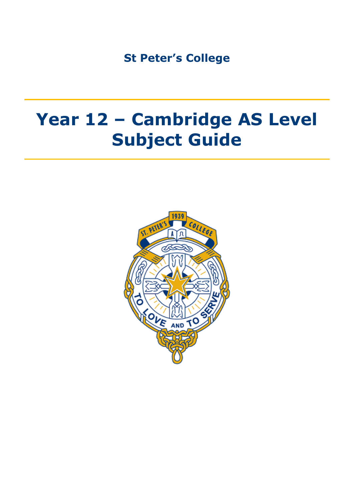**St Peter's College**

# **Year 12 – Cambridge AS Level Subject Guide**

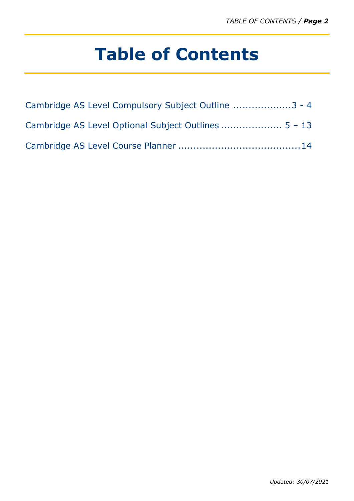# **Table of Contents**

| Cambridge AS Level Compulsory Subject Outline 3 - 4 |
|-----------------------------------------------------|
|                                                     |
|                                                     |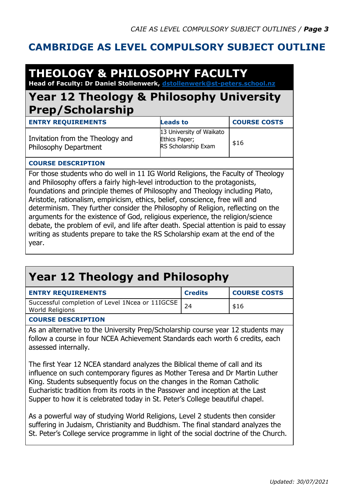### **CAMBRIDGE AS LEVEL COMPULSORY SUBJECT OUTLINE**

### **THEOLOGY & PHILOSOPHY FACULTY Head of Faculty: Dr Daniel Stollenwerk, [dstollenwerk@st-peters.school.nz](mailto:dstollenwerk@st-peters.school.nz)**

### **Year 12 Theology & Philosophy University Prep/Scholarship**

| <b>ENTRY REQUIREMENTS</b>                                 | <b>Leads to</b>                                                  | <b>COURSE COSTS</b> |
|-----------------------------------------------------------|------------------------------------------------------------------|---------------------|
| Invitation from the Theology and<br>Philosophy Department | 13 University of Waikato<br>Ethics Paper;<br>RS Scholarship Exam | \$16                |

### **COURSE DESCRIPTION**

For those students who do well in 11 IG World Religions, the Faculty of Theology and Philosophy offers a fairly high-level introduction to the protagonists, foundations and principle themes of Philosophy and Theology including Plato, Aristotle, rationalism, empiricism, ethics, belief, conscience, free will and determinism. They further consider the Philosophy of Religion, reflecting on the arguments for the existence of God, religious experience, the religion/science debate, the problem of evil, and life after death. Special attention is paid to essay writing as students prepare to take the RS Scholarship exam at the end of the year.

### **Year 12 Theology and Philosophy ENTRY REQUIREMENTS Credits COURSE COSTS** Successful completion of Level 1Ncea or 11IGCSE Successful completion of Level Incea or TITGCSE<br>World Religions 24 **COURSE DESCRIPTION** As an alternative to the University Prep/Scholarship course year 12 students may follow a course in four NCEA Achievement Standards each worth 6 credits, each assessed internally. The first Year 12 NCEA standard analyzes the Biblical theme of call and its influence on such contemporary figures as Mother Teresa and Dr Martin Luther King. Students subsequently focus on the changes in the Roman Catholic Eucharistic tradition from its roots in the Passover and inception at the Last Supper to how it is celebrated today in St. Peter's College beautiful chapel. As a powerful way of studying World Religions, Level 2 students then consider suffering in Judaism, Christianity and Buddhism. The final standard analyzes the

St. Peter's College service programme in light of the social doctrine of the Church.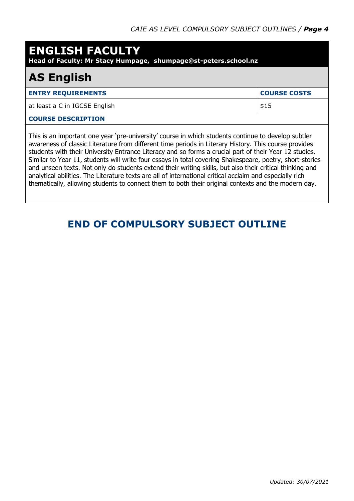### **ENGLISH FACULTY**

**Head of Faculty: Mr Stacy Humpage, shumpage@st-peters.school.nz**

# **AS English**

| <b>ENTRY REQUIREMENTS</b>                                                                                                                                                                                                                                                                                              | <b>COURSE COSTS</b> |
|------------------------------------------------------------------------------------------------------------------------------------------------------------------------------------------------------------------------------------------------------------------------------------------------------------------------|---------------------|
| at least a C in IGCSE English                                                                                                                                                                                                                                                                                          | \$15                |
| <b>COURSE DESCRIPTION</b>                                                                                                                                                                                                                                                                                              |                     |
| This is an important one year 'pre-university' course in which students continue to develop subtler<br>awareness of classic Literature from different time periods in Literary History. This course provides<br>students with their University Entrance Literacy and so forms a crucial part of their Year 12 studies. |                     |

students with their University Entrance Literacy and so forms a crucial part of their Year 12 studies. Similar to Year 11, students will write four essays in total covering Shakespeare, poetry, short-stories and unseen texts. Not only do students extend their writing skills, but also their critical thinking and analytical abilities. The Literature texts are all of international critical acclaim and especially rich thematically, allowing students to connect them to both their original contexts and the modern day.

### **END OF COMPULSORY SUBJECT OUTLINE**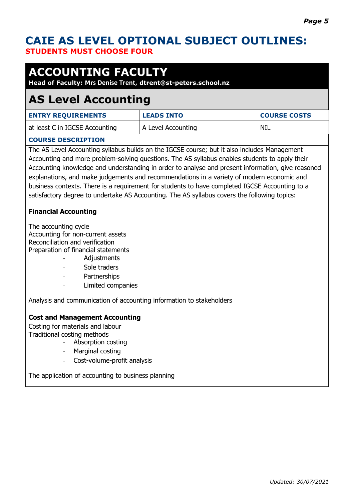### **CAIE AS LEVEL OPTIONAL SUBJECT OUTLINES: STUDENTS MUST CHOOSE FOUR**

# **ACCOUNTING FACULTY**

### **Head of Faculty: Mrs Denise Trent, dtrent@st-peters.school.nz**

## **AS Level Accounting**

| <b>ENTRY REQUIREMENTS</b>      | <b>LEADS INTO</b>  | <b>COURSE COSTS</b> |
|--------------------------------|--------------------|---------------------|
| at least C in IGCSE Accounting | A Level Accounting | NIL                 |

### **COURSE DESCRIPTION**

The AS Level Accounting syllabus builds on the IGCSE course; but it also includes Management Accounting and more problem-solving questions. The AS syllabus enables students to apply their Accounting knowledge and understanding in order to analyse and present information, give reasoned explanations, and make judgements and recommendations in a variety of modern economic and business contexts. There is a requirement for students to have completed IGCSE Accounting to a satisfactory degree to undertake AS Accounting. The AS syllabus covers the following topics:

### **Financial Accounting**

The accounting cycle Accounting for non-current assets Reconciliation and verification Preparation of financial statements

- Adjustments
- Sole traders
- Partnerships
- Limited companies

Analysis and communication of accounting information to stakeholders

### **Cost and Management Accounting**

Costing for materials and labour Traditional costing methods

- Absorption costing
- Marginal costing
- Cost-volume-profit analysis

The application of accounting to business planning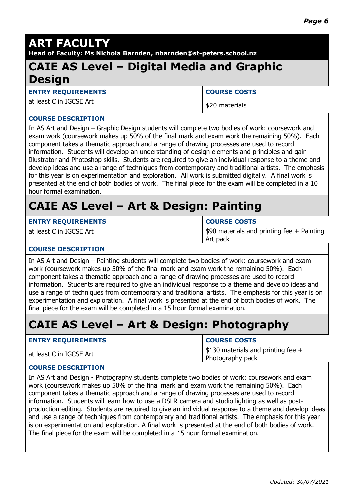# **ART FACULTY**

**Head of Faculty: Ms Nichola Barnden, nbarnden@st-peters.school.nz**

### **CAIE AS Level – Digital Media and Graphic Design**

**ENTRY REQUIREMENTS COURSE COSTS** 

at least C in IGCSE Art  $\left| \begin{array}{c} 1 \\ 2 \end{array} \right|$  s 20 materials

#### **COURSE DESCRIPTION**

In AS Art and Design – Graphic Design students will complete two bodies of work: coursework and exam work (coursework makes up 50% of the final mark and exam work the remaining 50%). Each component takes a thematic approach and a range of drawing processes are used to record information. Students will develop an understanding of design elements and principles and gain Illustrator and Photoshop skills. Students are required to give an individual response to a theme and develop ideas and use a range of techniques from contemporary and traditional artists. The emphasis for this year is on experimentation and exploration. All work is submitted digitally. A final work is presented at the end of both bodies of work. The final piece for the exam will be completed in a 10 hour formal examination.

# **CAIE AS Level – Art & Design: Painting**

| <b>ENTRY REQUIREMENTS</b> | <b>COURSE COSTS</b>                         |
|---------------------------|---------------------------------------------|
| at least C in IGCSE Art   | $$90$ materials and printing fee + Painting |
|                           | Art pack                                    |

#### **COURSE DESCRIPTION**

In AS Art and Design – Painting students will complete two bodies of work: coursework and exam work (coursework makes up 50% of the final mark and exam work the remaining 50%). Each component takes a thematic approach and a range of drawing processes are used to record information. Students are required to give an individual response to a theme and develop ideas and use a range of techniques from contemporary and traditional artists. The emphasis for this year is on experimentation and exploration. A final work is presented at the end of both bodies of work. The final piece for the exam will be completed in a 15 hour formal examination.

## **CAIE AS Level – Art & Design: Photography**

| <b>ENTRY REQUIREMENTS</b> | <b>COURSE COSTS</b>                                           |
|---------------------------|---------------------------------------------------------------|
| at least C in IGCSE Art   | $\mid$ \$130 materials and printing fee +<br>Photography pack |
|                           |                                                               |

### **COURSE DESCRIPTION**

In AS Art and Design - Photography students complete two bodies of work: coursework and exam work (coursework makes up 50% of the final mark and exam work the remaining 50%). Each component takes a thematic approach and a range of drawing processes are used to record information. Students will learn how to use a DSLR camera and studio lighting as well as postproduction editing. Students are required to give an individual response to a theme and develop ideas and use a range of techniques from contemporary and traditional artists. The emphasis for this year is on experimentation and exploration. A final work is presented at the end of both bodies of work. The final piece for the exam will be completed in a 15 hour formal examination.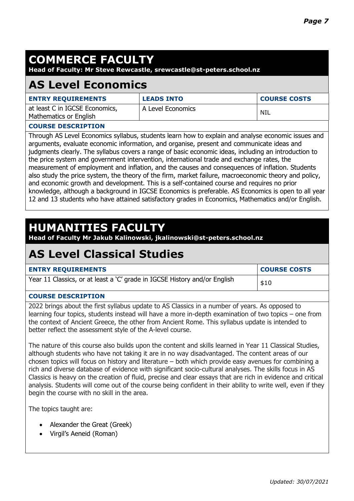# **COMMERCE FACULTY**

**Head of Faculty: Mr Steve Rewcastle, srewcastle@st-peters.school.nz**

### **AS Level Economics**

| <b>ENTRY REQUIREMENTS</b>                                | <b>LEADS INTO</b> | <b>COURSE COSTS</b> |
|----------------------------------------------------------|-------------------|---------------------|
| at least C in IGCSE Economics,<br>Mathematics or English | A Level Economics | NIL                 |
|                                                          |                   |                     |

### **COURSE DESCRIPTION**

Through AS Level Economics syllabus, students learn how to explain and analyse economic issues and arguments, evaluate economic information, and organise, present and communicate ideas and judgments clearly. The syllabus covers a range of basic economic ideas, including an introduction to the price system and government intervention, international trade and exchange rates, the measurement of employment and inflation, and the causes and consequences of inflation. Students also study the price system, the theory of the firm, market failure, macroeconomic theory and policy, and economic growth and development. This is a self-contained course and requires no prior knowledge, although a background in IGCSE Economics is preferable. AS Economics is open to all year 12 and 13 students who have attained satisfactory grades in Economics, Mathematics and/or English.

## **HUMANITIES FACULTY**

**Head of Faculty Mr Jakub Kalinowski, jkalinowski@st-peters.school.nz**

### **AS Level Classical Studies**

| <b>ENTRY REQUIREMENTS</b>                                                 | <b>COURSE COSTS</b> |
|---------------------------------------------------------------------------|---------------------|
| Year 11 Classics, or at least a 'C' grade in IGCSE History and/or English | \$10                |

### **COURSE DESCRIPTION**

2022 brings about the first syllabus update to AS Classics in a number of years. As opposed to learning four topics, students instead will have a more in-depth examination of two topics – one from the context of Ancient Greece, the other from Ancient Rome. This syllabus update is intended to better reflect the assessment style of the A-level course.

The nature of this course also builds upon the content and skills learned in Year 11 Classical Studies, although students who have not taking it are in no way disadvantaged. The content areas of our chosen topics will focus on history and literature – both which provide easy avenues for combining a rich and diverse database of evidence with significant socio-cultural analyses. The skills focus in AS Classics is heavy on the creation of fluid, precise and clear essays that are rich in evidence and critical analysis. Students will come out of the course being confident in their ability to write well, even if they begin the course with no skill in the area.

The topics taught are:

- Alexander the Great (Greek)
- Virgil's Aeneid (Roman)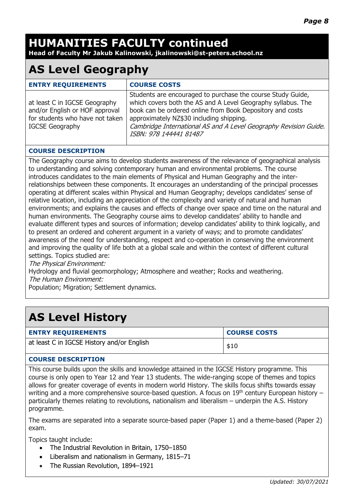# **HUMANITIES FACULTY continued**

**Head of Faculty Mr Jakub Kalinowski, jkalinowski@st-peters.school.nz**

# **AS Level Geography**

| <b>ENTRY REQUIREMENTS</b>                                                                                                    | <b>COURSE COSTS</b>                                                                                                                                                                                                                                                                                                                |
|------------------------------------------------------------------------------------------------------------------------------|------------------------------------------------------------------------------------------------------------------------------------------------------------------------------------------------------------------------------------------------------------------------------------------------------------------------------------|
| at least C in IGCSE Geography<br>and/or English or HOF approval<br>for students who have not taken<br><b>IGCSE Geography</b> | Students are encouraged to purchase the course Study Guide,<br>which covers both the AS and A Level Geography syllabus. The<br>book can be ordered online from Book Depository and costs<br>approximately NZ\$30 including shipping.<br>Cambridge International AS and A Level Geography Revision Guide.<br>ISBN: 978 144441 81487 |

### **COURSE DESCRIPTION**

The Geography course aims to develop students awareness of the relevance of geographical analysis to understanding and solving contemporary human and environmental problems. The course introduces candidates to the main elements of Physical and Human Geography and the interrelationships between these components. It encourages an understanding of the principal processes operating at different scales within Physical and Human Geography; develops candidates' sense of relative location, including an appreciation of the complexity and variety of natural and human environments; and explains the causes and effects of change over space and time on the natural and human environments. The Geography course aims to develop candidates' ability to handle and evaluate different types and sources of information; develop candidates' ability to think logically, and to present an ordered and coherent argument in a variety of ways; and to promote candidates' awareness of the need for understanding, respect and co-operation in conserving the environment and improving the quality of life both at a global scale and within the context of different cultural settings. Topics studied are:

The Physical Environment:

Hydrology and fluvial geomorphology; Atmosphere and weather; Rocks and weathering. The Human Environment:

Population; Migration; Settlement dynamics.

# **AS Level History**

| <b>ENTRY REQUIREMENTS</b>                  | <b>COURSE COSTS</b> |
|--------------------------------------------|---------------------|
| at least C in IGCSE History and/or English | \$10                |

#### **COURSE DESCRIPTION**

This course builds upon the skills and knowledge attained in the IGCSE History programme. This course is only open to Year 12 and Year 13 students. The wide-ranging scope of themes and topics allows for greater coverage of events in modern world History. The skills focus shifts towards essay writing and a more comprehensive source-based question. A focus on  $19<sup>th</sup>$  century European history – particularly themes relating to revolutions, nationalism and liberalism – underpin the A.S. History programme.

The exams are separated into a separate source-based paper (Paper 1) and a theme-based (Paper 2) exam.

Topics taught include:

- The Industrial Revolution in Britain, 1750–1850
- Liberalism and nationalism in Germany, 1815-71
- The Russian Revolution, 1894–1921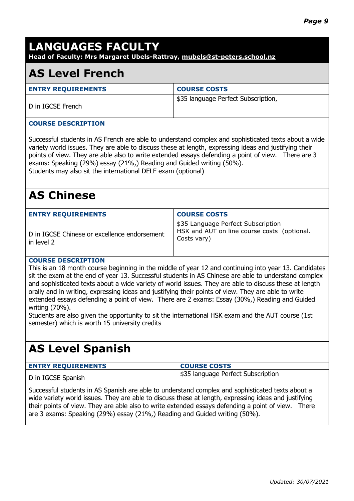# **LANGUAGES FACULTY**

**Head of Faculty: Mrs Margaret Ubels-Rattray, mubels@st-peters.school.nz**

### **AS Level French**

| <b>ENTRY REQUIREMENTS</b> | <b>COURSE COSTS</b>                 |
|---------------------------|-------------------------------------|
| D in IGCSE French         | \$35 language Perfect Subscription, |
|                           |                                     |

#### **COURSE DESCRIPTION**

Successful students in AS French are able to understand complex and sophisticated texts about a wide variety world issues. They are able to discuss these at length, expressing ideas and justifying their points of view. They are able also to write extended essays defending a point of view. There are 3 exams: Speaking (29%) essay (21%,) Reading and Guided writing (50%). Students may also sit the international DELF exam (optional)

# **AS Chinese**

| <b>ENTRY REQUIREMENTS</b>                                  | <b>COURSE COSTS</b>                                                                              |
|------------------------------------------------------------|--------------------------------------------------------------------------------------------------|
| D in IGCSE Chinese or excellence endorsement<br>in level 2 | \$35 Language Perfect Subscription<br>HSK and AUT on line course costs (optional.<br>Costs vary) |

#### **COURSE DESCRIPTION**

This is an 18 month course beginning in the middle of year 12 and continuing into year 13. Candidates sit the exam at the end of year 13. Successful students in AS Chinese are able to understand complex and sophisticated texts about a wide variety of world issues. They are able to discuss these at length orally and in writing, expressing ideas and justifying their points of view. They are able to write extended essays defending a point of view. There are 2 exams: Essay (30%,) Reading and Guided writing (70%).

Students are also given the opportunity to sit the international HSK exam and the AUT course (1st semester) which is worth 15 university credits

## **AS Level Spanish**

| <b>ENTRY REQUIREMENTS</b> | <b>COURSE COSTS</b>                         |
|---------------------------|---------------------------------------------|
| D in IGCSE Spanish        | <b>I \$35 language Perfect Subscription</b> |

Successful students in AS Spanish are able to understand complex and sophisticated texts about a wide variety world issues. They are able to discuss these at length, expressing ideas and justifying their points of view. They are able also to write extended essays defending a point of view. There are 3 exams: Speaking (29%) essay (21%,) Reading and Guided writing (50%).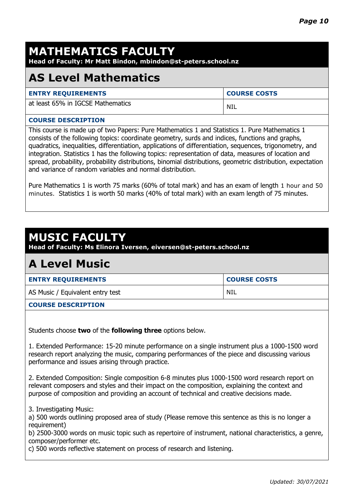# **MATHEMATICS FACULTY**

**Head of Faculty: Mr Matt Bindon, mbindon@st-peters.school.nz**

## **AS Level Mathematics**

| <b>ENTRY REQUIREMENTS</b>         | <b>COURSE COSTS</b> |
|-----------------------------------|---------------------|
| at least 65% in IGCSE Mathematics | - NIL               |

#### **COURSE DESCRIPTION**

This course is made up of two Papers: Pure Mathematics 1 and Statistics 1. Pure Mathematics 1 consists of the following topics: coordinate geometry, surds and indices, functions and graphs, quadratics, inequalities, differentiation, applications of differentiation, sequences, trigonometry, and integration. Statistics 1 has the following topics: representation of data, measures of location and spread, probability, probability distributions, binomial distributions, geometric distribution, expectation and variance of random variables and normal distribution.

Pure Mathematics 1 is worth 75 marks (60% of total mark) and has an exam of length 1 hour and 50 minutes. Statistics 1 is worth 50 marks (40% of total mark) with an exam length of 75 minutes.

### **MUSIC FACULTY**

**Head of Faculty: Ms Elinora Iversen, eiversen@st-peters.school.nz**

### **A Level Music**

| <b>ENTRY REQUIREMENTS</b>        | <b>COURSE COSTS</b> |
|----------------------------------|---------------------|
| AS Music / Equivalent entry test | NIL                 |

#### **COURSE DESCRIPTION**

Students choose **two** of the **following three** options below.

1. Extended Performance: 15-20 minute performance on a single instrument plus a 1000-1500 word research report analyzing the music, comparing performances of the piece and discussing various performance and issues arising through practice.

2. Extended Composition: Single composition 6-8 minutes plus 1000-1500 word research report on relevant composers and styles and their impact on the composition, explaining the context and purpose of composition and providing an account of technical and creative decisions made.

3. Investigating Music:

a) 500 words outlining proposed area of study (Please remove this sentence as this is no longer a requirement)

b) 2500-3000 words on music topic such as repertoire of instrument, national characteristics, a genre, composer/performer etc.

c) 500 words reflective statement on process of research and listening.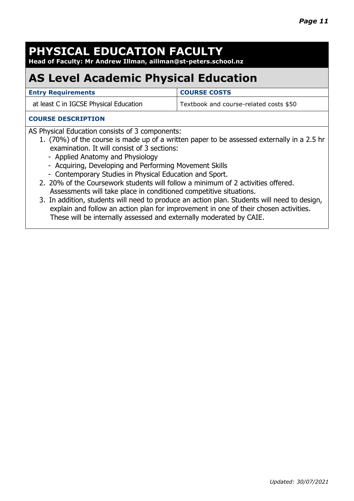# **PHYSICAL EDUCATION FACULTY**

**Head of Faculty: Mr Andrew Illman, aillman@st-peters.school.nz** 

# **AS Level Academic Physical Education**

| <b>Entry Requirements</b>              | <b>COURSE COSTS</b>                    |
|----------------------------------------|----------------------------------------|
| at least C in IGCSE Physical Education | Textbook and course-related costs \$50 |

#### **COURSE DESCRIPTION**

AS Physical Education consists of 3 components:

- 1. (70%) of the course is made up of a written paper to be assessed externally in a 2.5 hr examination. It will consist of 3 sections:
	- Applied Anatomy and Physiology
	- Acquiring, Developing and Performing Movement Skills
	- Contemporary Studies in Physical Education and Sport.
- 2. 20% of the Coursework students will follow a minimum of 2 activities offered. Assessments will take place in conditioned competitive situations.
- 3. In addition, students will need to produce an action plan. Students will need to design, explain and follow an action plan for improvement in one of their chosen activities. These will be internally assessed and externally moderated by CAIE.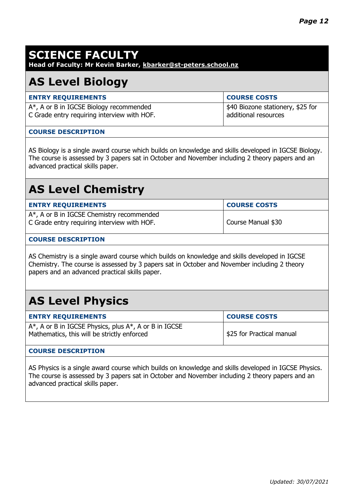# **SCIENCE FACULTY**

**Head of Faculty: Mr Kevin Barker, kbarker@st-peters.school.nz**

## **AS Level Biology**

| <b>ENTRY REQUIREMENTS</b>                   | <b>COURSE COSTS</b>               |
|---------------------------------------------|-----------------------------------|
| $A^*$ , A or B in IGCSE Biology recommended | \$40 Biozone stationery, \$25 for |
| C Grade entry requiring interview with HOF. | additional resources              |

#### **COURSE DESCRIPTION**

AS Biology is a single award course which builds on knowledge and skills developed in IGCSE Biology. The course is assessed by 3 papers sat in October and November including 2 theory papers and an advanced practical skills paper.

## **AS Level Chemistry**

| <b>ENTRY REQUIREMENTS</b>                                                                    | <b>COURSE COSTS</b> |
|----------------------------------------------------------------------------------------------|---------------------|
| $A^*$ , A or B in IGCSE Chemistry recommended<br>C Grade entry requiring interview with HOF. | Course Manual \$30  |

#### **COURSE DESCRIPTION**

AS Chemistry is a single award course which builds on knowledge and skills developed in IGCSE Chemistry. The course is assessed by 3 papers sat in October and November including 2 theory papers and an advanced practical skills paper.

# **AS Level Physics**

| <b>ENTRY REQUIREMENTS</b>                                                                                    | <b>COURSE COSTS</b>       |
|--------------------------------------------------------------------------------------------------------------|---------------------------|
| $A^*$ , A or B in IGCSE Physics, plus $A^*$ , A or B in IGCSE<br>Mathematics, this will be strictly enforced | \$25 for Practical manual |

### **COURSE DESCRIPTION**

AS Physics is a single award course which builds on knowledge and skills developed in IGCSE Physics. The course is assessed by 3 papers sat in October and November including 2 theory papers and an advanced practical skills paper.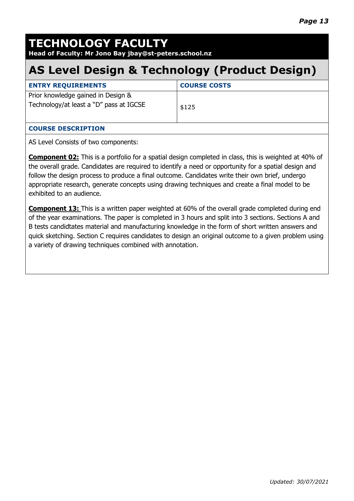# **TECHNOLOGY FACULTY**

**Head of Faculty: Mr Jono Bay jbay@st-peters.school.nz**

# **AS Level Design & Technology (Product Design)**

| <b>ENTRY REQUIREMENTS</b>                                                     | <b>COURSE COSTS</b> |
|-------------------------------------------------------------------------------|---------------------|
| Prior knowledge gained in Design &<br>Technology/at least a "D" pass at IGCSE | \$125               |
|                                                                               |                     |

### **COURSE DESCRIPTION**

AS Level Consists of two components:

**Component 02:** This is a portfolio for a spatial design completed in class, this is weighted at 40% of the overall grade. Candidates are required to identify a need or opportunity for a spatial design and follow the design process to produce a final outcome. Candidates write their own brief, undergo appropriate research, generate concepts using drawing techniques and create a final model to be exhibited to an audience.

**Component 13:** This is a written paper weighted at 60% of the overall grade completed during end of the year examinations. The paper is completed in 3 hours and split into 3 sections. Sections A and B tests candidtates material and manufacturing knowledge in the form of short written answers and quick sketching. Section C requires candidates to design an original outcome to a given problem using a variety of drawing techniques combined with annotation.